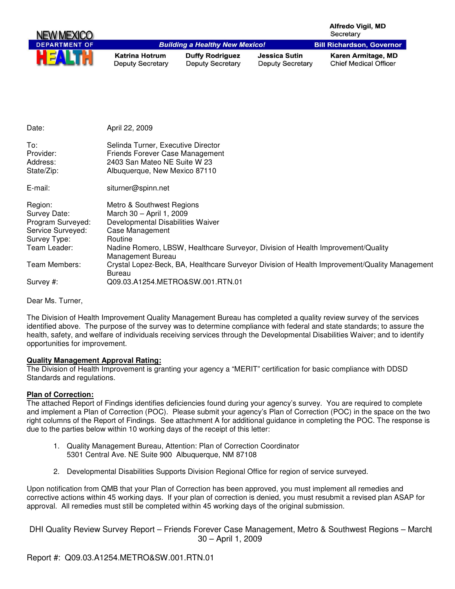| NEW MEXICO           |                                                  |                                                   |                                                 | Alfredo Vigil, MD<br>Secretary                     |
|----------------------|--------------------------------------------------|---------------------------------------------------|-------------------------------------------------|----------------------------------------------------|
| <b>DEPARTMENT OF</b> |                                                  | <b>Building a Healthy New Mexico!</b>             |                                                 | <b>Bill Richardson, Governor</b>                   |
| HEAL                 | <b>Katrina Hotrum</b><br><b>Deputy Secretary</b> | <b>Duffy Rodriguez</b><br><b>Deputy Secretary</b> | <b>Jessica Sutin</b><br><b>Deputy Secretary</b> | Karen Armitage, MD<br><b>Chief Medical Officer</b> |

| Date:                                                                                             | April 22, 2009                                                                                                                                                                                                                                                                                                                                                                                                                                                  |
|---------------------------------------------------------------------------------------------------|-----------------------------------------------------------------------------------------------------------------------------------------------------------------------------------------------------------------------------------------------------------------------------------------------------------------------------------------------------------------------------------------------------------------------------------------------------------------|
| To:<br>Provider:<br>Address:<br>State/Zip:                                                        | Selinda Turner, Executive Director<br>Friends Forever Case Management<br>2403 San Mateo NE Suite W 23<br>Albuquerque, New Mexico 87110                                                                                                                                                                                                                                                                                                                          |
| E-mail:                                                                                           | siturner@spinn.net                                                                                                                                                                                                                                                                                                                                                                                                                                              |
| Region:<br>Survey Date:<br>Program Surveyed:<br>Service Surveyed:<br>Survey Type:<br>Team Leader: | Metro & Southwest Regions<br>March 30 - April 1, 2009<br>Developmental Disabilities Waiver<br>Case Management<br>Routine<br>Nadine Romero, LBSW, Healthcare Surveyor, Division of Health Improvement/Quality<br>Management Bureau                                                                                                                                                                                                                               |
| Team Members:                                                                                     | Crystal Lopez-Beck, BA, Healthcare Surveyor Division of Health Improvement/Quality Management<br><b>Bureau</b>                                                                                                                                                                                                                                                                                                                                                  |
| Survey #:                                                                                         | Q09.03.A1254.METRO&SW.001.RTN.01                                                                                                                                                                                                                                                                                                                                                                                                                                |
| Dear Ms. Turner,                                                                                  |                                                                                                                                                                                                                                                                                                                                                                                                                                                                 |
| opportunities for improvement.                                                                    | The Division of Health Improvement Quality Management Bureau has completed a quality review survey of the services<br>identified above. The purpose of the survey was to determine compliance with federal and state standards; to assure the<br>health, safety, and welfare of individuals receiving services through the Developmental Disabilities Waiver; and to identify                                                                                   |
| <b>Quality Management Approval Rating:</b><br>Standards and regulations.                          | The Division of Health Improvement is granting your agency a "MERIT" certification for basic compliance with DDSD                                                                                                                                                                                                                                                                                                                                               |
| <b>Plan of Correction:</b>                                                                        | The attached Report of Findings identifies deficiencies found during your agency's survey. You are required to complete<br>and implement a Plan of Correction (POC). Please submit your agency's Plan of Correction (POC) in the space on the two<br>right columns of the Report of Findings. See attachment A for additional guidance in completing the POC. The response is<br>due to the parties below within 10 working days of the receipt of this letter: |
|                                                                                                   | 1. Quality Management Bureau, Attention: Plan of Correction Coordinator<br>5301 Central Ave. NE Suite 900 Albuquerque, NM 87108                                                                                                                                                                                                                                                                                                                                 |
| 2.                                                                                                | Developmental Disabilities Supports Division Regional Office for region of service surveyed.                                                                                                                                                                                                                                                                                                                                                                    |
|                                                                                                   | Upon notification from QMB that your Plan of Correction has been approved, you must implement all remedies and<br>corrective actions within 45 working days. If your plan of correction is denied, you must resubmit a revised plan ASAP for<br>approval. All remedies must still be completed within 45 working days of the original submission.                                                                                                               |
|                                                                                                   | DHI Quality Review Survey Report - Friends Forever Case Management, Metro & Southwest Regions - March                                                                                                                                                                                                                                                                                                                                                           |

#### **Quality Management Approval Rating:**

#### **Plan of Correction:**

- 1. Quality Management Bureau, Attention: Plan of Correction Coordinator 5301 Central Ave. NE Suite 900 Albuquerque, NM 87108
- 2. Developmental Disabilities Supports Division Regional Office for region of service surveyed.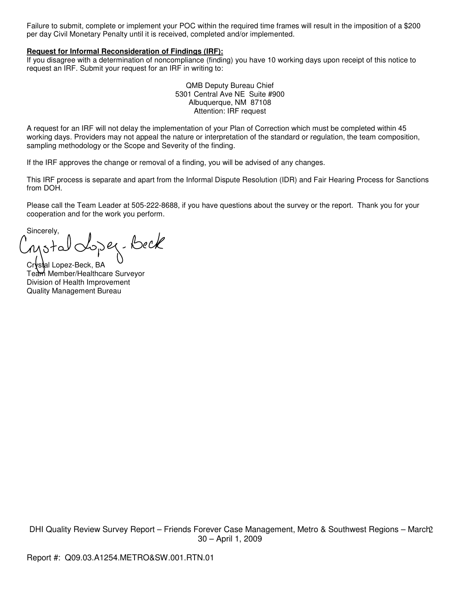per day Civil Monetary Penalty until it is received, completed and/or implemented.

#### **Request for Informal Reconsideration of Findings (IRF):**

If you disagree with a determination of noncompliance (finding) you have 10 working days upon receipt of this notice to request an IRF. Submit your request for an IRF in writing to:

> QMB Deputy Bureau Chief 5301 Central Ave NE Suite #900 Albuquerque, NM 87108 Attention: IRF request

Failure to submit, composite or implement your POC within the required time frames will result in the remainder or increase the reduced time frames and Enchanging the reduced time frames and Enchanging the reduced time fra A request for an IRF will not delay the implementation of your Plan of Correction which must be completed within 45 working days. Providers may not appeal the nature or interpretation of the standard or regulation, the team composition, sampling methodology or the Scope and Severity of the finding.

If the IRF approves the change or removal of a finding, you will be advised of any changes.

This IRF process is separate and apart from the Informal Dispute Resolution (IDR) and Fair Hearing Process for Sanctions from DOH.

Please call the Team Leader at 505-222-8688, if you have questions about the survey or the report. Thank you for your cooperation and for the work you perform.

sincerely, <br>motal doper. Beck

Crystal Lopez-Beck, BA Team Member/Healthcare Surveyor Division of Health Improvement Quality Management Bureau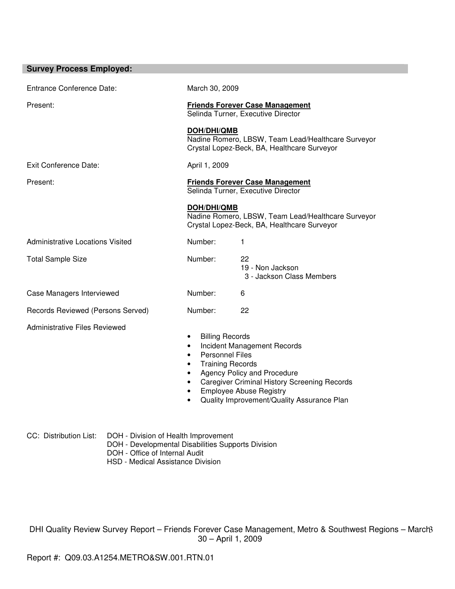| <b>Survey Process Employed:</b>                                                                                                                                                                    |                                                                                                                     |                                                                                                                                                                                                   |
|----------------------------------------------------------------------------------------------------------------------------------------------------------------------------------------------------|---------------------------------------------------------------------------------------------------------------------|---------------------------------------------------------------------------------------------------------------------------------------------------------------------------------------------------|
| <b>Entrance Conference Date:</b>                                                                                                                                                                   | March 30, 2009                                                                                                      |                                                                                                                                                                                                   |
| Present:                                                                                                                                                                                           |                                                                                                                     | <b>Friends Forever Case Management</b><br>Selinda Turner, Executive Director                                                                                                                      |
|                                                                                                                                                                                                    | <b>DOH/DHI/QMB</b>                                                                                                  | Nadine Romero, LBSW, Team Lead/Healthcare Surveyor<br>Crystal Lopez-Beck, BA, Healthcare Surveyor                                                                                                 |
| <b>Exit Conference Date:</b>                                                                                                                                                                       | April 1, 2009                                                                                                       |                                                                                                                                                                                                   |
| Present:                                                                                                                                                                                           |                                                                                                                     | <b>Friends Forever Case Management</b><br>Selinda Turner, Executive Director                                                                                                                      |
|                                                                                                                                                                                                    | <b>DOH/DHI/QMB</b>                                                                                                  | Nadine Romero, LBSW, Team Lead/Healthcare Surveyor<br>Crystal Lopez-Beck, BA, Healthcare Surveyor                                                                                                 |
| <b>Administrative Locations Visited</b>                                                                                                                                                            | Number:                                                                                                             | 1                                                                                                                                                                                                 |
| <b>Total Sample Size</b>                                                                                                                                                                           | Number:                                                                                                             | 22<br>19 - Non Jackson<br>3 - Jackson Class Members                                                                                                                                               |
| Case Managers Interviewed                                                                                                                                                                          | Number:                                                                                                             | 6                                                                                                                                                                                                 |
| Records Reviewed (Persons Served)                                                                                                                                                                  | Number:                                                                                                             | 22                                                                                                                                                                                                |
| <b>Administrative Files Reviewed</b>                                                                                                                                                               | <b>Billing Records</b><br>٠<br>٠<br><b>Personnel Files</b><br>٠<br><b>Training Records</b><br>٠<br>٠<br>٠<br>٠<br>٠ | Incident Management Records<br>Agency Policy and Procedure<br><b>Caregiver Criminal History Screening Records</b><br><b>Employee Abuse Registry</b><br>Quality Improvement/Quality Assurance Plan |
| CC: Distribution List:<br>DOH - Division of Health Improvement<br>DOH - Developmental Disabilities Supports Division<br>DOH - Office of Internal Audit<br><b>HSD - Medical Assistance Division</b> |                                                                                                                     |                                                                                                                                                                                                   |
|                                                                                                                                                                                                    |                                                                                                                     | DHI Quality Review Survey Report – Friends Forever Case Management, Metro & Southwest Regions – March                                                                                             |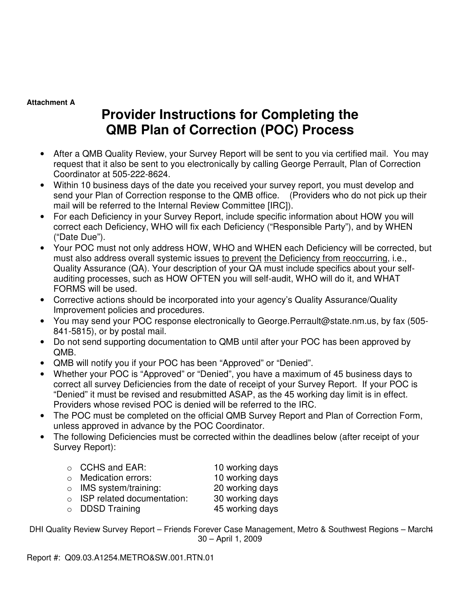## **Provider Instructions for Completing the QMB Plan of Correction (POC) Process**

- After a QMB Quality Review, your Survey Report will be sent to you via certified mail. You may request that it also be sent to you electronically by calling George Perrault, Plan of Correction Coordinator at 505-222-8624.
- Within 10 business days of the date you received your survey report, you must develop and send your Plan of Correction response to the QMB office. (Providers who do not pick up their mail will be referred to the Internal Review Committee [IRC]).
- For each Deficiency in your Survey Report, include specific information about HOW you will correct each Deficiency, WHO will fix each Deficiency ("Responsible Party"), and by WHEN ("Date Due").
- **Attachment A Provider Instructions for Completing the CMB Plan of Correction (POC) Process<br>
 After a OMB Data of Mexical provident provident will be sent to you are antital with a some that<br>
 request that it also be sen** • Your POC must not only address HOW, WHO and WHEN each Deficiency will be corrected, but must also address overall systemic issues to prevent the Deficiency from reoccurring, i.e., Quality Assurance (QA). Your description of your QA must include specifics about your selfauditing processes, such as HOW OFTEN you will self-audit, WHO will do it, and WHAT FORMS will be used.
	- Corrective actions should be incorporated into your agency's Quality Assurance/Quality Improvement policies and procedures.
	- You may send your POC response electronically to George.Perrault@state.nm.us, by fax (505- 841-5815), or by postal mail.
	- Do not send supporting documentation to QMB until after your POC has been approved by QMB.
	- QMB will notify you if your POC has been "Approved" or "Denied".
	- Whether your POC is "Approved" or "Denied", you have a maximum of 45 business days to correct all survey Deficiencies from the date of receipt of your Survey Report. If your POC is "Denied" it must be revised and resubmitted ASAP, as the 45 working day limit is in effect. Providers whose revised POC is denied will be referred to the IRC.
	- The POC must be completed on the official QMB Survey Report and Plan of Correction Form, unless approved in advance by the POC Coordinator.
	- The following Deficiencies must be corrected within the deadlines below (after receipt of your Survey Report):

|          | $\circ$ CCHS and EAR:        | 10 working days |
|----------|------------------------------|-----------------|
|          | $\circ$ Medication errors:   | 10 working days |
|          | $\circ$ IMS system/training: | 20 working days |
| $\Omega$ | ISP related documentation:   | 30 working days |
|          | $\circ$ DDSD Training        | 45 working days |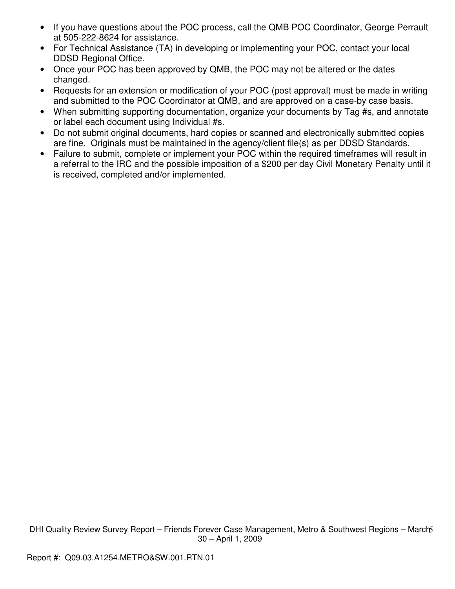- at 505-222-8624 for assistance.
- For Technical Assistance (TA) in developing or implementing your POC, contact your local DDSD Regional Office.
- Once your POC has been approved by QMB, the POC may not be altered or the dates changed.
- Requests for an extension or modification of your POC (post approval) must be made in writing and submitted to the POC Coordinator at QMB, and are approved on a case-by case basis.
- When submitting supporting documentation, organize your documents by Tag #s, and annotate or label each document using Individual #s.
- Do not submit original documents, hard copies or scanned and electronically submitted copies are fine. Originals must be maintained in the agency/client file(s) as per DDSD Standards.
- F II you have questions about the POC process, call the OMB POC Coordinator, George Perrault<br>
a d 505-222 8624 for assistance.<br>
F Technical Assistance.<br>
D SD Regnoral Officia.<br>
O IDSD Regnoral Officia.<br>
O IDSD Regnoral O • Failure to submit, complete or implement your POC within the required timeframes will result in a referral to the IRC and the possible imposition of a \$200 per day Civil Monetary Penalty until it is received, completed and/or implemented.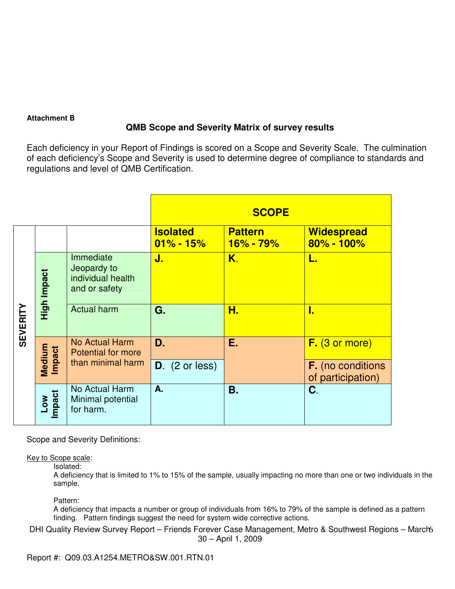### **QMB Scope and Severity Matrix of survey results**

|                 | <b>Attachment B</b>     |                                                                                            |                                  | <b>QMB Scope and Severity Matrix of survey results</b> |                                                                                                                                                                                                                           |
|-----------------|-------------------------|--------------------------------------------------------------------------------------------|----------------------------------|--------------------------------------------------------|---------------------------------------------------------------------------------------------------------------------------------------------------------------------------------------------------------------------------|
|                 |                         | regulations and level of QMB Certification.                                                |                                  |                                                        | Each deficiency in your Report of Findings is scored on a Scope and Severity Scale. The culmination<br>of each deficiency's Scope and Severity is used to determine degree of compliance to standards and                 |
|                 |                         |                                                                                            |                                  | <b>SCOPE</b>                                           |                                                                                                                                                                                                                           |
|                 |                         |                                                                                            | <b>Isolated</b><br>$01\% - 15\%$ | <b>Pattern</b><br><u> 16% - 79% </u>                   | <b>Widespread</b><br>$80\% - 100\%$                                                                                                                                                                                       |
|                 | High Impact             | Immediate<br>Jeopardy to<br>individual health<br>and or safety                             | J.                               | Κ.                                                     | L.                                                                                                                                                                                                                        |
| <b>SEVERITY</b> |                         | <b>Actual harm</b>                                                                         | G.                               | Η.                                                     | I.                                                                                                                                                                                                                        |
|                 | Medium<br><b>Impact</b> | <b>No Actual Harm</b><br><b>Potential for more</b><br>than minimal harm                    | D.<br>$D.$ (2 or less)           | Ε.                                                     | $F.$ (3 or more)<br><b>F.</b> (no conditions<br>of participation)                                                                                                                                                         |
|                 | Impact<br>Low           | No Actual Harm<br>Minimal potential<br>for harm.                                           | A.                               | Β.                                                     | C.                                                                                                                                                                                                                        |
|                 |                         | Scope and Severity Definitions:                                                            |                                  |                                                        |                                                                                                                                                                                                                           |
|                 | Key to Scope scale:     | Isolated:<br>sample.                                                                       |                                  |                                                        | A deficiency that is limited to 1% to 15% of the sample, usually impacting no more than one or two individuals in the                                                                                                     |
|                 |                         | Pattern:<br>finding. Pattern findings suggest the need for system wide corrective actions. |                                  |                                                        | A deficiency that impacts a number or group of individuals from 16% to 79% of the sample is defined as a pattern<br>DHI Quality Review Survey Report – Friends Forever Case Management, Metro & Southwest Regions – March |

### Key to Scope scale: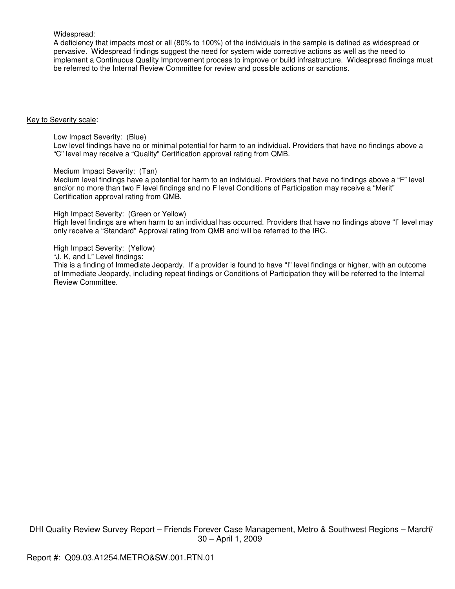Widepieses<br>Comparison by Impedia model of 1895 (to 1995) of the Individual in the apenals is determined as a system property and the matter of the matter of the matter of the matter of the matter of the matter of the matte A deficiency that impacts most or all (80% to 100%) of the individuals in the sample is defined as widespread or pervasive. Widespread findings suggest the need for system wide corrective actions as well as the need to implement a Continuous Quality Improvement process to improve or build infrastructure. Widespread findings must be referred to the Internal Review Committee for review and possible actions or sanctions.

#### Key to Severity scale:

Low Impact Severity: (Blue)

Low level findings have no or minimal potential for harm to an individual. Providers that have no findings above a "C" level may receive a "Quality" Certification approval rating from QMB.

#### Medium Impact Severity: (Tan)

Medium level findings have a potential for harm to an individual. Providers that have no findings above a "F" level and/or no more than two F level findings and no F level Conditions of Participation may receive a "Merit" Certification approval rating from QMB.

#### High Impact Severity: (Green or Yellow)

High level findings are when harm to an individual has occurred. Providers that have no findings above "I" level may only receive a "Standard" Approval rating from QMB and will be referred to the IRC.

High Impact Severity: (Yellow)

"J, K, and L" Level findings:

This is a finding of Immediate Jeopardy. If a provider is found to have "I" level findings or higher, with an outcome of Immediate Jeopardy, including repeat findings or Conditions of Participation they will be referred to the Internal Review Committee.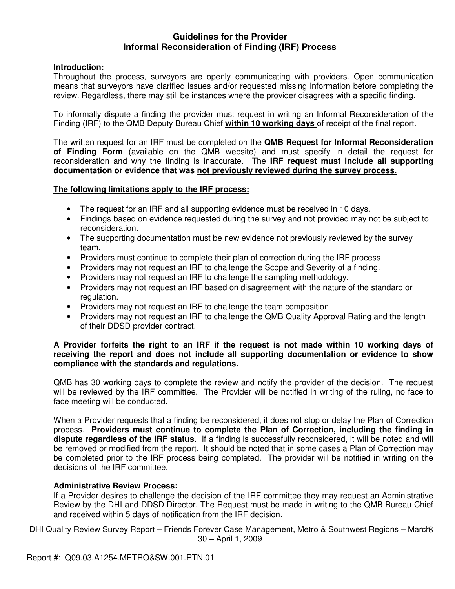# **Informal Reconsideration of Finding (IRF) Process**

### **Introduction:**

Throughout the process, surveyors are openly communicating with providers. Open communication means that surveyors have clarified issues and/or requested missing information before completing the review. Regardless, there may still be instances where the provider disagrees with a specific finding.

To informally dispute a finding the provider must request in writing an Informal Reconsideration of the Finding (IRF) to the QMB Deputy Bureau Chief **within 10 working days** of receipt of the final report.

The written request for an IRF must be completed on the **QMB Request for Informal Reconsideration of Finding Form** (available on the QMB website) and must specify in detail the request for reconsideration and why the finding is inaccurate. The **IRF request must include all supporting documentation or evidence that was not previously reviewed during the survey process.** 

### **The following limitations apply to the IRF process:**

- The request for an IRF and all supporting evidence must be received in 10 days.
- Findings based on evidence requested during the survey and not provided may not be subject to reconsideration.
- The supporting documentation must be new evidence not previously reviewed by the survey team.
- Providers must continue to complete their plan of correction during the IRF process
- Providers may not request an IRF to challenge the Scope and Severity of a finding.
- Providers may not request an IRF to challenge the sampling methodology.
- Providers may not request an IRF based on disagreement with the nature of the standard or regulation.
- Providers may not request an IRF to challenge the team composition
- Providers may not request an IRF to challenge the QMB Quality Approval Rating and the length of their DDSD provider contract.

### **A Provider forfeits the right to an IRF if the request is not made within 10 working days of receiving the report and does not include all supporting documentation or evidence to show compliance with the standards and regulations.**

QMB has 30 working days to complete the review and notify the provider of the decision. The request will be reviewed by the IRF committee. The Provider will be notified in writing of the ruling, no face to face meeting will be conducted.

**Guidelines for the Provider<br>
for the Provider Theory in Providers.** Open communication<br>
for the same open communication with providers. Open communication<br>
fied issues and/or requested missing information before completin When a Provider requests that a finding be reconsidered, it does not stop or delay the Plan of Correction process. **Providers must continue to complete the Plan of Correction, including the finding in dispute regardless of the IRF status.** If a finding is successfully reconsidered, it will be noted and will be removed or modified from the report. It should be noted that in some cases a Plan of Correction may be completed prior to the IRF process being completed. The provider will be notified in writing on the decisions of the IRF committee.

### **Administrative Review Process:**

If a Provider desires to challenge the decision of the IRF committee they may request an Administrative Review by the DHI and DDSD Director. The Request must be made in writing to the QMB Bureau Chief and received within 5 days of notification from the IRF decision.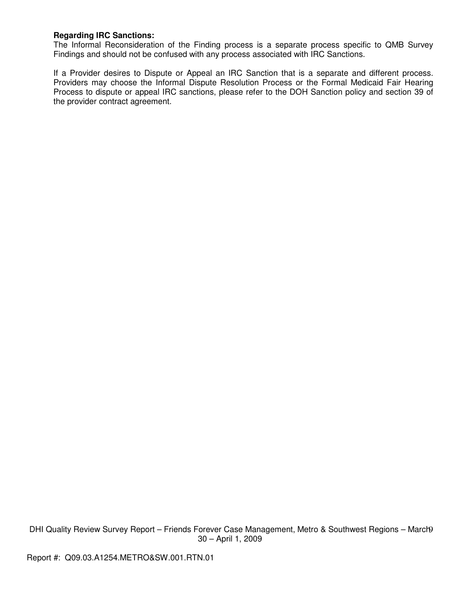The Informal Reconsideration of the Finding process is a separate process specific to QMB Survey Findings and should not be confused with any process associated with IRC Sanctions.

Regarding IRC Sanctions:<br>The informal Reconstantation of the Finding process is a separate process specific to OMB Survey<br>The informal Reconstantino of the Finding process associated with IRC Sanction at<br>It is Porvider des If a Provider desires to Dispute or Appeal an IRC Sanction that is a separate and different process. Providers may choose the Informal Dispute Resolution Process or the Formal Medicaid Fair Hearing Process to dispute or appeal IRC sanctions, please refer to the DOH Sanction policy and section 39 of the provider contract agreement.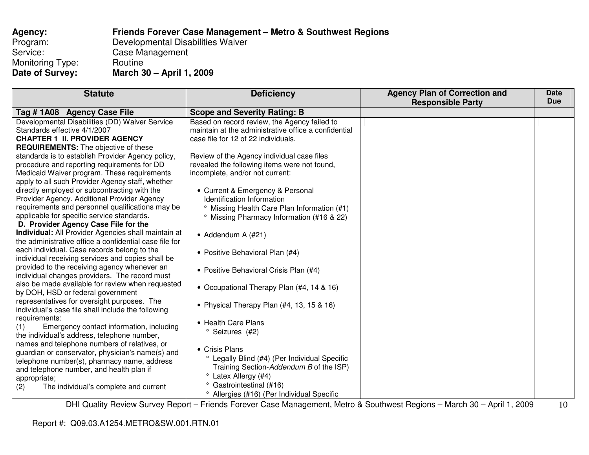### **Agency: Friends Forever Case Management – Metro & Southwest Regions** Program: Developmental Disabilities Waiver Service: Case Management Monitoring Type: Routine<br>
Date of Survey: March 3 **Date of Survey: March 30 – April 1, 2009**

| <b>Statute</b>                                         | <b>Deficiency</b>                                      | <b>Agency Plan of Correction and</b>                                                                                     | <b>Date</b> |
|--------------------------------------------------------|--------------------------------------------------------|--------------------------------------------------------------------------------------------------------------------------|-------------|
|                                                        |                                                        | <b>Responsible Party</b>                                                                                                 | <b>Due</b>  |
| Tag #1A08 Agency Case File                             | <b>Scope and Severity Rating: B</b>                    |                                                                                                                          |             |
| Developmental Disabilities (DD) Waiver Service         | Based on record review, the Agency failed to           |                                                                                                                          |             |
| Standards effective 4/1/2007                           | maintain at the administrative office a confidential   |                                                                                                                          |             |
| <b>CHAPTER 1 II. PROVIDER AGENCY</b>                   | case file for 12 of 22 individuals.                    |                                                                                                                          |             |
| <b>REQUIREMENTS:</b> The objective of these            |                                                        |                                                                                                                          |             |
| standards is to establish Provider Agency policy,      | Review of the Agency individual case files             |                                                                                                                          |             |
| procedure and reporting requirements for DD            | revealed the following items were not found,           |                                                                                                                          |             |
| Medicaid Waiver program. These requirements            | incomplete, and/or not current:                        |                                                                                                                          |             |
| apply to all such Provider Agency staff, whether       |                                                        |                                                                                                                          |             |
| directly employed or subcontracting with the           | • Current & Emergency & Personal                       |                                                                                                                          |             |
| Provider Agency. Additional Provider Agency            | Identification Information                             |                                                                                                                          |             |
| requirements and personnel qualifications may be       | <sup>o</sup> Missing Health Care Plan Information (#1) |                                                                                                                          |             |
| applicable for specific service standards.             | <sup>o</sup> Missing Pharmacy Information (#16 & 22)   |                                                                                                                          |             |
| D. Provider Agency Case File for the                   |                                                        |                                                                                                                          |             |
| Individual: All Provider Agencies shall maintain at    | • Addendum A $(H21)$                                   |                                                                                                                          |             |
| the administrative office a confidential case file for |                                                        |                                                                                                                          |             |
| each individual. Case records belong to the            | • Positive Behavioral Plan (#4)                        |                                                                                                                          |             |
| individual receiving services and copies shall be      |                                                        |                                                                                                                          |             |
| provided to the receiving agency whenever an           | • Positive Behavioral Crisis Plan (#4)                 |                                                                                                                          |             |
| individual changes providers. The record must          |                                                        |                                                                                                                          |             |
| also be made available for review when requested       | • Occupational Therapy Plan (#4, 14 & 16)              |                                                                                                                          |             |
| by DOH, HSD or federal government                      |                                                        |                                                                                                                          |             |
| representatives for oversight purposes. The            | • Physical Therapy Plan $(#4, 13, 15 \& 16)$           |                                                                                                                          |             |
| individual's case file shall include the following     |                                                        |                                                                                                                          |             |
| requirements:                                          | • Health Care Plans                                    |                                                                                                                          |             |
| Emergency contact information, including<br>(1)        |                                                        |                                                                                                                          |             |
| the individual's address, telephone number,            | ° Seizures (#2)                                        |                                                                                                                          |             |
| names and telephone numbers of relatives, or           |                                                        |                                                                                                                          |             |
| guardian or conservator, physician's name(s) and       | • Crisis Plans                                         |                                                                                                                          |             |
| telephone number(s), pharmacy name, address            | ° Legally Blind (#4) (Per Individual Specific          |                                                                                                                          |             |
| and telephone number, and health plan if               | Training Section-Addendum B of the ISP)                |                                                                                                                          |             |
| appropriate;                                           | ° Latex Allergy (#4)                                   |                                                                                                                          |             |
| The individual's complete and current<br>(2)           | <sup>o</sup> Gastrointestinal (#16)                    |                                                                                                                          |             |
|                                                        | <sup>o</sup> Allergies (#16) (Per Individual Specific  |                                                                                                                          |             |
|                                                        |                                                        | DHI Quality Review Survey Report – Friends Forever Case Management, Metro & Southwest Regions – March 30 – April 1, 2009 | 10          |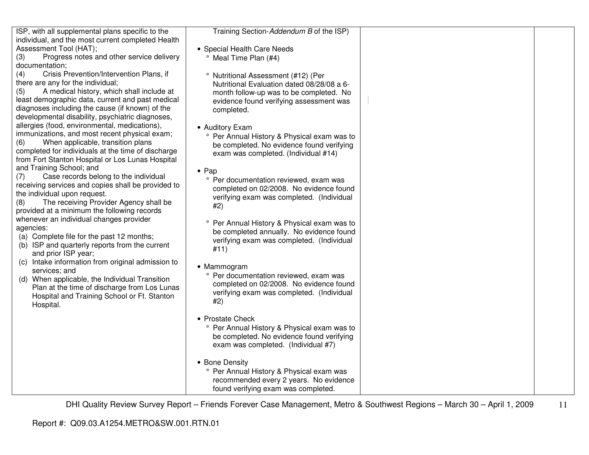| ISP, with all supplemental plans specific to the                                       | Training Section-Addendum B of the ISP)        |  |
|----------------------------------------------------------------------------------------|------------------------------------------------|--|
| individual, and the most current completed Health                                      |                                                |  |
| Assessment Tool (HAT);                                                                 | • Special Health Care Needs                    |  |
| Progress notes and other service delivery<br>(3)                                       | <sup>o</sup> Meal Time Plan (#4)               |  |
| documentation;                                                                         |                                                |  |
| Crisis Prevention/Intervention Plans, if<br>(4)                                        | <sup>o</sup> Nutritional Assessment (#12) (Per |  |
| there are any for the individual;                                                      | Nutritional Evaluation dated 08/28/08 a 6-     |  |
| A medical history, which shall include at<br>(5)                                       | month follow-up was to be completed. No        |  |
| least demographic data, current and past medical                                       | evidence found verifying assessment was        |  |
| diagnoses including the cause (if known) of the                                        | completed.                                     |  |
| developmental disability, psychiatric diagnoses,                                       |                                                |  |
| allergies (food, environmental, medications),                                          | • Auditory Exam                                |  |
| immunizations, and most recent physical exam;                                          | ° Per Annual History & Physical exam was to    |  |
| When applicable, transition plans<br>(6)                                               | be completed. No evidence found verifying      |  |
| completed for individuals at the time of discharge                                     | exam was completed. (Individual #14)           |  |
| from Fort Stanton Hospital or Los Lunas Hospital                                       |                                                |  |
| and Training School; and                                                               | $\bullet$ Pap                                  |  |
| Case records belong to the individual<br>(7)                                           | ° Per documentation reviewed, exam was         |  |
| receiving services and copies shall be provided to                                     | completed on 02/2008. No evidence found        |  |
| the individual upon request.                                                           | verifying exam was completed. (Individual      |  |
| The receiving Provider Agency shall be<br>(8)                                          | #2)                                            |  |
| provided at a minimum the following records<br>whenever an individual changes provider |                                                |  |
| agencies:                                                                              | ° Per Annual History & Physical exam was to    |  |
| (a) Complete file for the past 12 months;                                              | be completed annually. No evidence found       |  |
| (b) ISP and quarterly reports from the current                                         | verifying exam was completed. (Individual      |  |
| and prior ISP year;                                                                    | #11)                                           |  |
| (c) Intake information from original admission to                                      |                                                |  |
| services; and                                                                          | • Mammogram                                    |  |
| (d) When applicable, the Individual Transition                                         | ° Per documentation reviewed, exam was         |  |
| Plan at the time of discharge from Los Lunas                                           | completed on 02/2008. No evidence found        |  |
| Hospital and Training School or Ft. Stanton                                            | verifying exam was completed. (Individual      |  |
| Hospital.                                                                              | #2)                                            |  |
|                                                                                        |                                                |  |
|                                                                                        | • Prostate Check                               |  |
|                                                                                        | ° Per Annual History & Physical exam was to    |  |
|                                                                                        | be completed. No evidence found verifying      |  |
|                                                                                        | exam was completed. (Individual #7)            |  |
|                                                                                        |                                                |  |
|                                                                                        | • Bone Density                                 |  |
|                                                                                        | ° Per Annual History & Physical exam was       |  |
|                                                                                        | recommended every 2 years. No evidence         |  |
|                                                                                        | found verifying exam was completed.            |  |
|                                                                                        |                                                |  |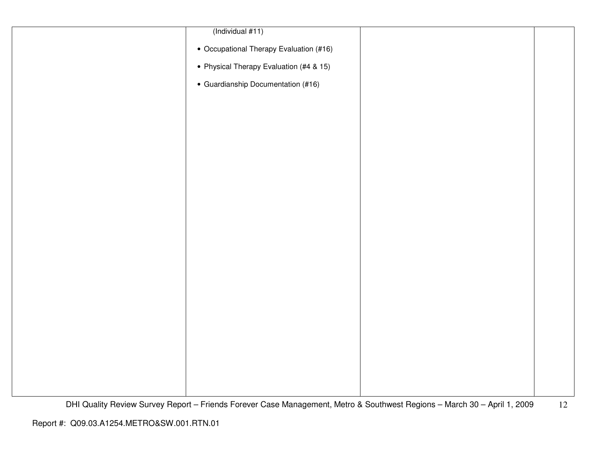| $($ Individual #11)                     |  |
|-----------------------------------------|--|
| • Occupational Therapy Evaluation (#16) |  |
| • Physical Therapy Evaluation (#4 & 15) |  |
| • Guardianship Documentation (#16)      |  |
|                                         |  |
|                                         |  |
|                                         |  |
|                                         |  |
|                                         |  |
|                                         |  |
|                                         |  |
|                                         |  |
|                                         |  |
|                                         |  |
|                                         |  |
|                                         |  |
|                                         |  |
|                                         |  |
|                                         |  |
|                                         |  |
|                                         |  |
|                                         |  |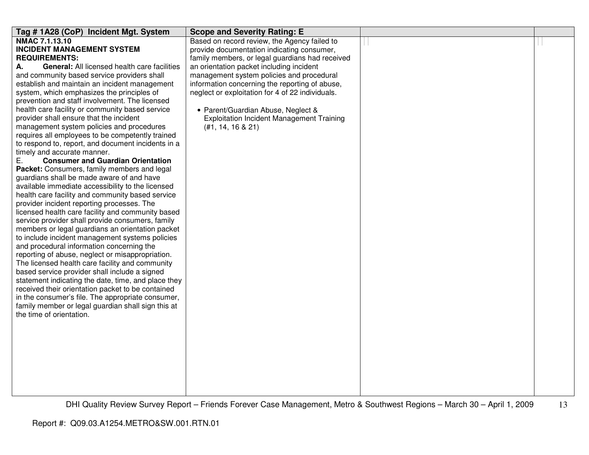| Tag # 1A28 (CoP) Incident Mgt. System                                                                | <b>Scope and Severity Rating: E</b>              |  |
|------------------------------------------------------------------------------------------------------|--------------------------------------------------|--|
| NMAC 7.1.13.10                                                                                       | Based on record review, the Agency failed to     |  |
| <b>INCIDENT MANAGEMENT SYSTEM</b>                                                                    | provide documentation indicating consumer,       |  |
| <b>REQUIREMENTS:</b>                                                                                 | family members, or legal guardians had received  |  |
| <b>General:</b> All licensed health care facilities<br>А.                                            | an orientation packet including incident         |  |
| and community based service providers shall                                                          | management system policies and procedural        |  |
| establish and maintain an incident management                                                        | information concerning the reporting of abuse,   |  |
| system, which emphasizes the principles of                                                           | neglect or exploitation for 4 of 22 individuals. |  |
| prevention and staff involvement. The licensed                                                       |                                                  |  |
| health care facility or community based service                                                      | • Parent/Guardian Abuse, Neglect &               |  |
| provider shall ensure that the incident                                                              | <b>Exploitation Incident Management Training</b> |  |
| management system policies and procedures                                                            | (H1, 14, 16 & 21)                                |  |
| requires all employees to be competently trained                                                     |                                                  |  |
| to respond to, report, and document incidents in a                                                   |                                                  |  |
| timely and accurate manner.                                                                          |                                                  |  |
| <b>Consumer and Guardian Orientation</b><br>Е.                                                       |                                                  |  |
| Packet: Consumers, family members and legal                                                          |                                                  |  |
| guardians shall be made aware of and have                                                            |                                                  |  |
| available immediate accessibility to the licensed                                                    |                                                  |  |
| health care facility and community based service                                                     |                                                  |  |
| provider incident reporting processes. The                                                           |                                                  |  |
| licensed health care facility and community based                                                    |                                                  |  |
| service provider shall provide consumers, family<br>members or legal guardians an orientation packet |                                                  |  |
| to include incident management systems policies                                                      |                                                  |  |
| and procedural information concerning the                                                            |                                                  |  |
| reporting of abuse, neglect or misappropriation.                                                     |                                                  |  |
| The licensed health care facility and community                                                      |                                                  |  |
| based service provider shall include a signed                                                        |                                                  |  |
| statement indicating the date, time, and place they                                                  |                                                  |  |
| received their orientation packet to be contained                                                    |                                                  |  |
| in the consumer's file. The appropriate consumer,                                                    |                                                  |  |
| family member or legal guardian shall sign this at                                                   |                                                  |  |
| the time of orientation.                                                                             |                                                  |  |
|                                                                                                      |                                                  |  |
|                                                                                                      |                                                  |  |
|                                                                                                      |                                                  |  |
|                                                                                                      |                                                  |  |
|                                                                                                      |                                                  |  |
|                                                                                                      |                                                  |  |
|                                                                                                      |                                                  |  |
|                                                                                                      |                                                  |  |
|                                                                                                      |                                                  |  |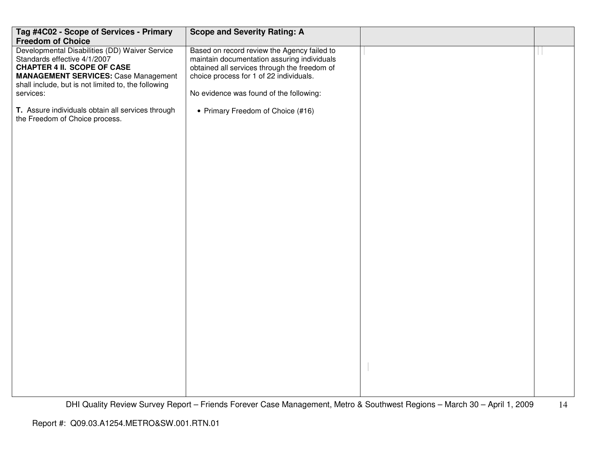| Tag #4C02 - Scope of Services - Primary                                                                                                                                                                                                 | <b>Scope and Severity Rating: A</b>                                                                                                                                                                                              |  |
|-----------------------------------------------------------------------------------------------------------------------------------------------------------------------------------------------------------------------------------------|----------------------------------------------------------------------------------------------------------------------------------------------------------------------------------------------------------------------------------|--|
| <b>Freedom of Choice</b>                                                                                                                                                                                                                |                                                                                                                                                                                                                                  |  |
| Developmental Disabilities (DD) Waiver Service<br>Standards effective 4/1/2007<br><b>CHAPTER 4 II. SCOPE OF CASE</b><br><b>MANAGEMENT SERVICES:</b> Case Management<br>shall include, but is not limited to, the following<br>services: | Based on record review the Agency failed to<br>maintain documentation assuring individuals<br>obtained all services through the freedom of<br>choice process for 1 of 22 individuals.<br>No evidence was found of the following: |  |
| T. Assure individuals obtain all services through<br>the Freedom of Choice process.                                                                                                                                                     | • Primary Freedom of Choice (#16)                                                                                                                                                                                                |  |
|                                                                                                                                                                                                                                         |                                                                                                                                                                                                                                  |  |
|                                                                                                                                                                                                                                         |                                                                                                                                                                                                                                  |  |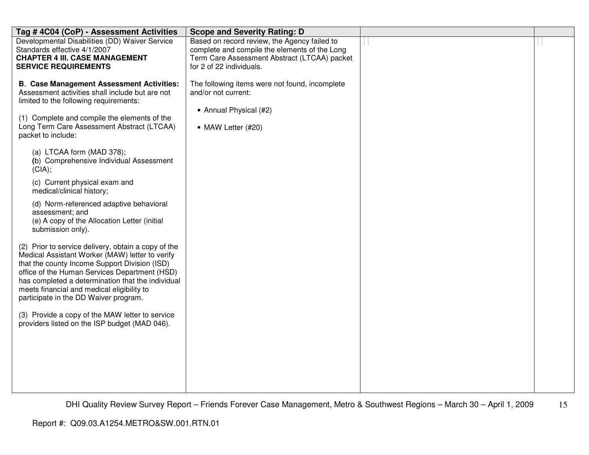| Tag # 4C04 (CoP) - Assessment Activities                                                                                                                                                                                                                                                                                                                                                                                                                                                                                                                                                                                                                                                                                                                                                                                                                                                                                                                                                                         | <b>Scope and Severity Rating: D</b>                                                                                                                                       |  |
|------------------------------------------------------------------------------------------------------------------------------------------------------------------------------------------------------------------------------------------------------------------------------------------------------------------------------------------------------------------------------------------------------------------------------------------------------------------------------------------------------------------------------------------------------------------------------------------------------------------------------------------------------------------------------------------------------------------------------------------------------------------------------------------------------------------------------------------------------------------------------------------------------------------------------------------------------------------------------------------------------------------|---------------------------------------------------------------------------------------------------------------------------------------------------------------------------|--|
| Developmental Disabilities (DD) Waiver Service<br>Standards effective 4/1/2007<br><b>CHAPTER 4 III. CASE MANAGEMENT</b><br><b>SERVICE REQUIREMENTS</b>                                                                                                                                                                                                                                                                                                                                                                                                                                                                                                                                                                                                                                                                                                                                                                                                                                                           | Based on record review, the Agency failed to<br>complete and compile the elements of the Long<br>Term Care Assessment Abstract (LTCAA) packet<br>for 2 of 22 individuals. |  |
| <b>B. Case Management Assessment Activities:</b><br>Assessment activities shall include but are not<br>limited to the following requirements:<br>(1) Complete and compile the elements of the<br>Long Term Care Assessment Abstract (LTCAA)<br>packet to include:<br>(a) LTCAA form (MAD 378);<br>(b) Comprehensive Individual Assessment<br>(CIA);<br>(c) Current physical exam and<br>medical/clinical history;<br>(d) Norm-referenced adaptive behavioral<br>assessment; and<br>(e) A copy of the Allocation Letter (initial<br>submission only).<br>(2) Prior to service delivery, obtain a copy of the<br>Medical Assistant Worker (MAW) letter to verify<br>that the county Income Support Division (ISD)<br>office of the Human Services Department (HSD)<br>has completed a determination that the individual<br>meets financial and medical eligibility to<br>participate in the DD Waiver program.<br>(3) Provide a copy of the MAW letter to service<br>providers listed on the ISP budget (MAD 046). | The following items were not found, incomplete<br>and/or not current:<br>• Annual Physical (#2)<br>• MAW Letter $(H20)$                                                   |  |
|                                                                                                                                                                                                                                                                                                                                                                                                                                                                                                                                                                                                                                                                                                                                                                                                                                                                                                                                                                                                                  |                                                                                                                                                                           |  |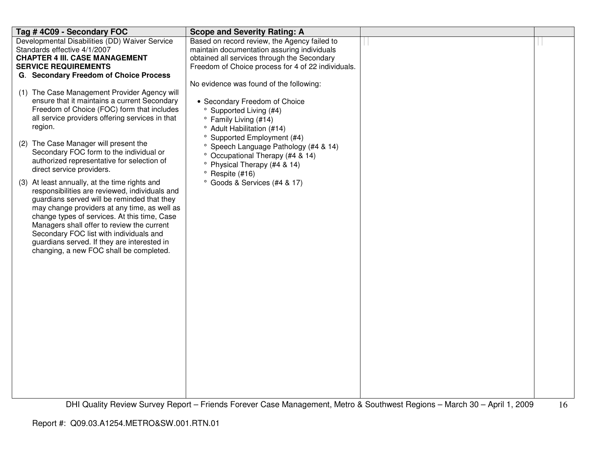| Tag #4C09 - Secondary FOC                                                                                                                                                                                                                                                                                                                                                                                                                                                                                                                                                                                                                                                                                                                                                                                                                              | <b>Scope and Severity Rating: A</b>                                                                                                                                                                                                                                                                                                                                                                                                                                         |                                                                                                                          |    |
|--------------------------------------------------------------------------------------------------------------------------------------------------------------------------------------------------------------------------------------------------------------------------------------------------------------------------------------------------------------------------------------------------------------------------------------------------------------------------------------------------------------------------------------------------------------------------------------------------------------------------------------------------------------------------------------------------------------------------------------------------------------------------------------------------------------------------------------------------------|-----------------------------------------------------------------------------------------------------------------------------------------------------------------------------------------------------------------------------------------------------------------------------------------------------------------------------------------------------------------------------------------------------------------------------------------------------------------------------|--------------------------------------------------------------------------------------------------------------------------|----|
| Developmental Disabilities (DD) Waiver Service                                                                                                                                                                                                                                                                                                                                                                                                                                                                                                                                                                                                                                                                                                                                                                                                         | Based on record review, the Agency failed to                                                                                                                                                                                                                                                                                                                                                                                                                                |                                                                                                                          |    |
| Standards effective 4/1/2007                                                                                                                                                                                                                                                                                                                                                                                                                                                                                                                                                                                                                                                                                                                                                                                                                           | maintain documentation assuring individuals                                                                                                                                                                                                                                                                                                                                                                                                                                 |                                                                                                                          |    |
| <b>CHAPTER 4 III. CASE MANAGEMENT</b>                                                                                                                                                                                                                                                                                                                                                                                                                                                                                                                                                                                                                                                                                                                                                                                                                  | obtained all services through the Secondary                                                                                                                                                                                                                                                                                                                                                                                                                                 |                                                                                                                          |    |
| <b>SERVICE REQUIREMENTS</b>                                                                                                                                                                                                                                                                                                                                                                                                                                                                                                                                                                                                                                                                                                                                                                                                                            |                                                                                                                                                                                                                                                                                                                                                                                                                                                                             |                                                                                                                          |    |
|                                                                                                                                                                                                                                                                                                                                                                                                                                                                                                                                                                                                                                                                                                                                                                                                                                                        |                                                                                                                                                                                                                                                                                                                                                                                                                                                                             |                                                                                                                          |    |
| G. Secondary Freedom of Choice Process<br>(1) The Case Management Provider Agency will<br>ensure that it maintains a current Secondary<br>Freedom of Choice (FOC) form that includes<br>all service providers offering services in that<br>region.<br>(2) The Case Manager will present the<br>Secondary FOC form to the individual or<br>authorized representative for selection of<br>direct service providers.<br>(3) At least annually, at the time rights and<br>responsibilities are reviewed, individuals and<br>guardians served will be reminded that they<br>may change providers at any time, as well as<br>change types of services. At this time, Case<br>Managers shall offer to review the current<br>Secondary FOC list with individuals and<br>guardians served. If they are interested in<br>changing, a new FOC shall be completed. | Freedom of Choice process for 4 of 22 individuals.<br>No evidence was found of the following:<br>• Secondary Freedom of Choice<br><sup>o</sup> Supported Living (#4)<br><sup>o</sup> Family Living (#14)<br><sup>o</sup> Adult Habilitation (#14)<br><sup>o</sup> Supported Employment (#4)<br>° Speech Language Pathology (#4 & 14)<br>° Occupational Therapy (#4 & 14)<br>Physical Therapy (#4 & 14)<br>$^{\circ}$ Respite (#16)<br>Goods & Services (#4 & 17)<br>$\circ$ |                                                                                                                          |    |
|                                                                                                                                                                                                                                                                                                                                                                                                                                                                                                                                                                                                                                                                                                                                                                                                                                                        |                                                                                                                                                                                                                                                                                                                                                                                                                                                                             | DHI Quality Review Survey Report - Friends Forever Case Management, Metro & Southwest Regions - March 30 - April 1, 2009 | 16 |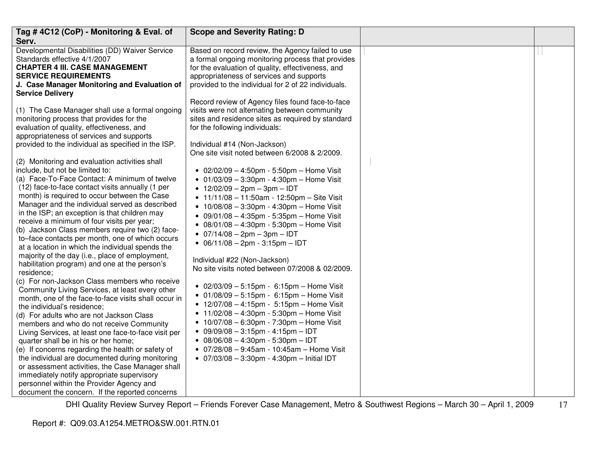| Tag #4C12 (CoP) - Monitoring & Eval. of                                                                                                                                                                                                                                                                                                                                                                                                                                                                                                                                                                                                                                                               | <b>Scope and Severity Rating: D</b>                                                                                                                                                                                                                                                                                                                                                                                                                                                        |  |
|-------------------------------------------------------------------------------------------------------------------------------------------------------------------------------------------------------------------------------------------------------------------------------------------------------------------------------------------------------------------------------------------------------------------------------------------------------------------------------------------------------------------------------------------------------------------------------------------------------------------------------------------------------------------------------------------------------|--------------------------------------------------------------------------------------------------------------------------------------------------------------------------------------------------------------------------------------------------------------------------------------------------------------------------------------------------------------------------------------------------------------------------------------------------------------------------------------------|--|
| Serv.                                                                                                                                                                                                                                                                                                                                                                                                                                                                                                                                                                                                                                                                                                 |                                                                                                                                                                                                                                                                                                                                                                                                                                                                                            |  |
| Developmental Disabilities (DD) Waiver Service<br>Standards effective 4/1/2007                                                                                                                                                                                                                                                                                                                                                                                                                                                                                                                                                                                                                        | Based on record review, the Agency failed to use<br>a formal ongoing monitoring process that provides                                                                                                                                                                                                                                                                                                                                                                                      |  |
| <b>CHAPTER 4 III. CASE MANAGEMENT</b><br><b>SERVICE REQUIREMENTS</b>                                                                                                                                                                                                                                                                                                                                                                                                                                                                                                                                                                                                                                  | for the evaluation of quality, effectiveness, and<br>appropriateness of services and supports                                                                                                                                                                                                                                                                                                                                                                                              |  |
| J. Case Manager Monitoring and Evaluation of<br><b>Service Delivery</b>                                                                                                                                                                                                                                                                                                                                                                                                                                                                                                                                                                                                                               | provided to the individual for 2 of 22 individuals.                                                                                                                                                                                                                                                                                                                                                                                                                                        |  |
| (1) The Case Manager shall use a formal ongoing<br>monitoring process that provides for the<br>evaluation of quality, effectiveness, and<br>appropriateness of services and supports<br>provided to the individual as specified in the ISP.                                                                                                                                                                                                                                                                                                                                                                                                                                                           | Record review of Agency files found face-to-face<br>visits were not alternating between community<br>sites and residence sites as required by standard<br>for the following individuals:<br>Individual #14 (Non-Jackson)                                                                                                                                                                                                                                                                   |  |
|                                                                                                                                                                                                                                                                                                                                                                                                                                                                                                                                                                                                                                                                                                       | One site visit noted between 6/2008 & 2/2009.                                                                                                                                                                                                                                                                                                                                                                                                                                              |  |
| (2) Monitoring and evaluation activities shall<br>include, but not be limited to:<br>(a) Face-To-Face Contact: A minimum of twelve<br>(12) face-to-face contact visits annually (1 per<br>month) is required to occur between the Case<br>Manager and the individual served as described<br>in the ISP; an exception is that children may<br>receive a minimum of four visits per year;<br>(b) Jackson Class members require two (2) face-<br>to-face contacts per month, one of which occurs<br>at a location in which the individual spends the<br>majority of the day (i.e., place of employment,<br>habilitation program) and one at the person's                                                 | • $02/02/09 - 4:50$ pm - 5:50pm - Home Visit<br>• 01/03/09 - 3:30pm - 4:30pm - Home Visit<br>• $12/02/09 - 2pm - 3pm - IDT$<br>• 11/11/08 - 11:50am - 12:50pm - Site Visit<br>• $10/08/08 - 3:30$ pm - 4:30pm - Home Visit<br>• $09/01/08 - 4:35$ pm - 5:35pm - Home Visit<br>• $08/01/08 - 4:30$ pm - 5:30pm - Home Visit<br>• $07/14/08 - 2pm - 3pm - IDT$<br>$\bullet$ 06/11/08 - 2pm - 3:15pm - IDT<br>Individual #22 (Non-Jackson)<br>No site visits noted between 07/2008 & 02/2009. |  |
| residence;<br>(c) For non-Jackson Class members who receive<br>Community Living Services, at least every other<br>month, one of the face-to-face visits shall occur in<br>the individual's residence;<br>(d) For adults who are not Jackson Class<br>members and who do not receive Community<br>Living Services, at least one face-to-face visit per<br>quarter shall be in his or her home;<br>(e) If concerns regarding the health or safety of<br>the individual are documented during monitoring<br>or assessment activities, the Case Manager shall<br>immediately notify appropriate supervisory<br>personnel within the Provider Agency and<br>document the concern. If the reported concerns | • 02/03/09 - 5:15pm - 6:15pm - Home Visit<br>• 01/08/09 - 5:15pm - 6:15pm - Home Visit<br>• 12/07/08 - 4:15pm - 5:15pm - Home Visit<br>• $11/02/08 - 4:30$ pm - 5:30pm - Home Visit<br>• $10/07/08 - 6:30$ pm - 7:30pm - Home Visit<br>$\bullet$ 09/09/08 - 3:15pm - 4:15pm - IDT<br>$-08/06/08 - 4:30$ pm - 5:30pm - IDT<br>• 07/28/08 - 9:45am - 10:45am - Home Visit<br>• 07/03/08 - 3:30pm - 4:30pm - Initial IDT                                                                      |  |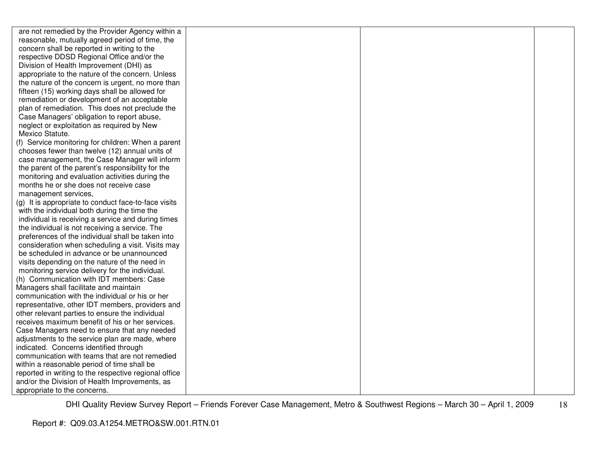| are not remedied by the Provider Agency within a<br>reasonable, mutually agreed period of time, the |  |  |
|-----------------------------------------------------------------------------------------------------|--|--|
| concern shall be reported in writing to the                                                         |  |  |
| respective DDSD Regional Office and/or the                                                          |  |  |
| Division of Health Improvement (DHI) as                                                             |  |  |
| appropriate to the nature of the concern. Unless                                                    |  |  |
|                                                                                                     |  |  |
| the nature of the concern is urgent, no more than                                                   |  |  |
| fifteen (15) working days shall be allowed for                                                      |  |  |
| remediation or development of an acceptable                                                         |  |  |
| plan of remediation. This does not preclude the                                                     |  |  |
| Case Managers' obligation to report abuse,                                                          |  |  |
| neglect or exploitation as required by New                                                          |  |  |
| Mexico Statute.                                                                                     |  |  |
| (f) Service monitoring for children: When a parent                                                  |  |  |
| chooses fewer than twelve (12) annual units of                                                      |  |  |
| case management, the Case Manager will inform                                                       |  |  |
| the parent of the parent's responsibility for the                                                   |  |  |
| monitoring and evaluation activities during the                                                     |  |  |
| months he or she does not receive case                                                              |  |  |
| management services,                                                                                |  |  |
| (g) It is appropriate to conduct face-to-face visits                                                |  |  |
| with the individual both during the time the                                                        |  |  |
| individual is receiving a service and during times                                                  |  |  |
| the individual is not receiving a service. The                                                      |  |  |
| preferences of the individual shall be taken into                                                   |  |  |
| consideration when scheduling a visit. Visits may                                                   |  |  |
| be scheduled in advance or be unannounced                                                           |  |  |
| visits depending on the nature of the need in                                                       |  |  |
| monitoring service delivery for the individual.                                                     |  |  |
| (h) Communication with IDT members: Case                                                            |  |  |
| Managers shall facilitate and maintain                                                              |  |  |
| communication with the individual or his or her                                                     |  |  |
| representative, other IDT members, providers and                                                    |  |  |
| other relevant parties to ensure the individual                                                     |  |  |
| receives maximum benefit of his or her services.                                                    |  |  |
| Case Managers need to ensure that any needed                                                        |  |  |
| adjustments to the service plan are made, where                                                     |  |  |
| indicated. Concerns identified through                                                              |  |  |
| communication with teams that are not remedied                                                      |  |  |
| within a reasonable period of time shall be                                                         |  |  |
| reported in writing to the respective regional office                                               |  |  |
| and/or the Division of Health Improvements, as                                                      |  |  |
| appropriate to the concerns.                                                                        |  |  |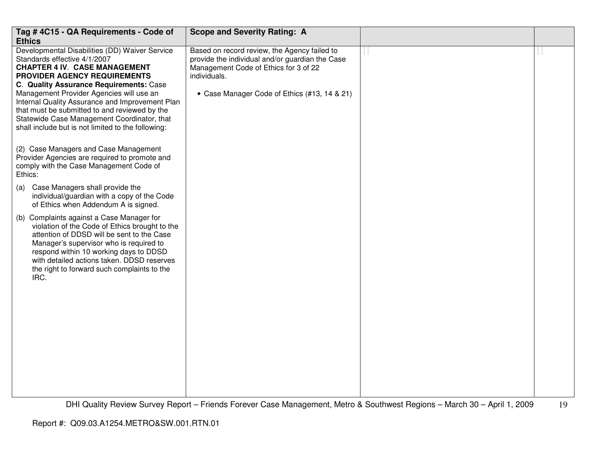| Tag #4C15 - QA Requirements - Code of                                                                                                                                                                                                                                                                                                                                                            | <b>Scope and Severity Rating: A</b>                                                                                                                                                                      |  |
|--------------------------------------------------------------------------------------------------------------------------------------------------------------------------------------------------------------------------------------------------------------------------------------------------------------------------------------------------------------------------------------------------|----------------------------------------------------------------------------------------------------------------------------------------------------------------------------------------------------------|--|
| <b>Ethics</b>                                                                                                                                                                                                                                                                                                                                                                                    |                                                                                                                                                                                                          |  |
| Developmental Disabilities (DD) Waiver Service<br>Standards effective 4/1/2007<br><b>CHAPTER 4 IV. CASE MANAGEMENT</b><br>PROVIDER AGENCY REQUIREMENTS<br>C. Quality Assurance Requirements: Case<br>Management Provider Agencies will use an<br>Internal Quality Assurance and Improvement Plan<br>that must be submitted to and reviewed by the<br>Statewide Case Management Coordinator, that | Based on record review, the Agency failed to<br>provide the individual and/or guardian the Case<br>Management Code of Ethics for 3 of 22<br>individuals.<br>• Case Manager Code of Ethics (#13, 14 & 21) |  |
| shall include but is not limited to the following:<br>(2) Case Managers and Case Management<br>Provider Agencies are required to promote and<br>comply with the Case Management Code of<br>Ethics:                                                                                                                                                                                               |                                                                                                                                                                                                          |  |
| Case Managers shall provide the<br>(a)<br>individual/guardian with a copy of the Code<br>of Ethics when Addendum A is signed.                                                                                                                                                                                                                                                                    |                                                                                                                                                                                                          |  |
| (b) Complaints against a Case Manager for<br>violation of the Code of Ethics brought to the<br>attention of DDSD will be sent to the Case<br>Manager's supervisor who is required to<br>respond within 10 working days to DDSD<br>with detailed actions taken. DDSD reserves<br>the right to forward such complaints to the<br>IRC.                                                              |                                                                                                                                                                                                          |  |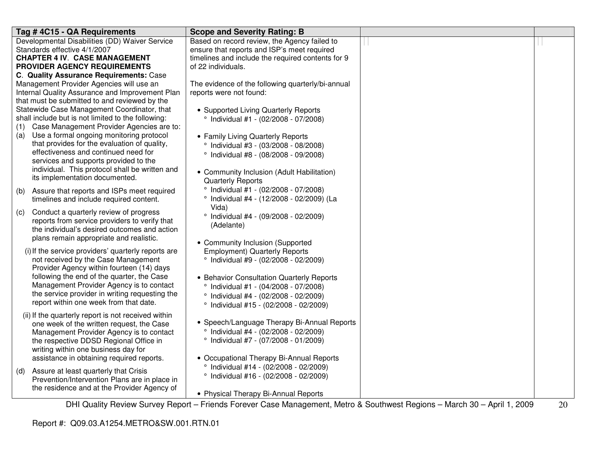| Tag # 4C15 - QA Requirements                        | <b>Scope and Severity Rating: B</b>               |  |
|-----------------------------------------------------|---------------------------------------------------|--|
| Developmental Disabilities (DD) Waiver Service      | Based on record review, the Agency failed to      |  |
| Standards effective 4/1/2007                        | ensure that reports and ISP's meet required       |  |
| <b>CHAPTER 4 IV. CASE MANAGEMENT</b>                | timelines and include the required contents for 9 |  |
| PROVIDER AGENCY REQUIREMENTS                        | of 22 individuals.                                |  |
| C. Quality Assurance Requirements: Case             |                                                   |  |
| Management Provider Agencies will use an            | The evidence of the following quarterly/bi-annual |  |
| Internal Quality Assurance and Improvement Plan     | reports were not found:                           |  |
| that must be submitted to and reviewed by the       |                                                   |  |
| Statewide Case Management Coordinator, that         | • Supported Living Quarterly Reports              |  |
| shall include but is not limited to the following:  | $^{\circ}$ Individual #1 - (02/2008 - 07/2008)    |  |
| Case Management Provider Agencies are to:<br>(1)    |                                                   |  |
| Use a formal ongoing monitoring protocol<br>(a)     | • Family Living Quarterly Reports                 |  |
| that provides for the evaluation of quality,        | $^{\circ}$ Individual #3 - (03/2008 - 08/2008)    |  |
| effectiveness and continued need for                | ° Individual #8 - (08/2008 - 09/2008)             |  |
| services and supports provided to the               |                                                   |  |
| individual. This protocol shall be written and      | • Community Inclusion (Adult Habilitation)        |  |
| its implementation documented.                      | <b>Quarterly Reports</b>                          |  |
| Assure that reports and ISPs meet required<br>(b)   | $\degree$ Individual #1 - (02/2008 - 07/2008)     |  |
| timelines and include required content.             | ° Individual #4 - (12/2008 - 02/2009) (La         |  |
|                                                     | Vida)                                             |  |
| Conduct a quarterly review of progress<br>(c)       | $^{\circ}$ Individual #4 - (09/2008 - 02/2009)    |  |
| reports from service providers to verify that       | (Adelante)                                        |  |
| the individual's desired outcomes and action        |                                                   |  |
| plans remain appropriate and realistic.             | • Community Inclusion (Supported                  |  |
| (i) If the service providers' quarterly reports are | <b>Employment) Quarterly Reports</b>              |  |
| not received by the Case Management                 | ° Individual #9 - (02/2008 - 02/2009)             |  |
| Provider Agency within fourteen (14) days           |                                                   |  |
| following the end of the quarter, the Case          | • Behavior Consultation Quarterly Reports         |  |
| Management Provider Agency is to contact            | $^{\circ}$ Individual #1 - (04/2008 - 07/2008)    |  |
| the service provider in writing requesting the      | ° Individual #4 - (02/2008 - 02/2009)             |  |
| report within one week from that date.              | ° Individual #15 - (02/2008 - 02/2009)            |  |
|                                                     |                                                   |  |
| (ii) If the quarterly report is not received within | • Speech/Language Therapy Bi-Annual Reports       |  |
| one week of the written request, the Case           | ° Individual #4 - (02/2008 - 02/2009)             |  |
| Management Provider Agency is to contact            |                                                   |  |
| the respective DDSD Regional Office in              | ° Individual #7 - (07/2008 - 01/2009)             |  |
| writing within one business day for                 |                                                   |  |
| assistance in obtaining required reports.           | • Occupational Therapy Bi-Annual Reports          |  |
| Assure at least quarterly that Crisis<br>(d)        | ° Individual #14 - (02/2008 - 02/2009)            |  |
| Prevention/Intervention Plans are in place in       | ° Individual #16 - (02/2008 - 02/2009)            |  |
| the residence and at the Provider Agency of         |                                                   |  |
|                                                     | • Physical Therapy Bi-Annual Reports              |  |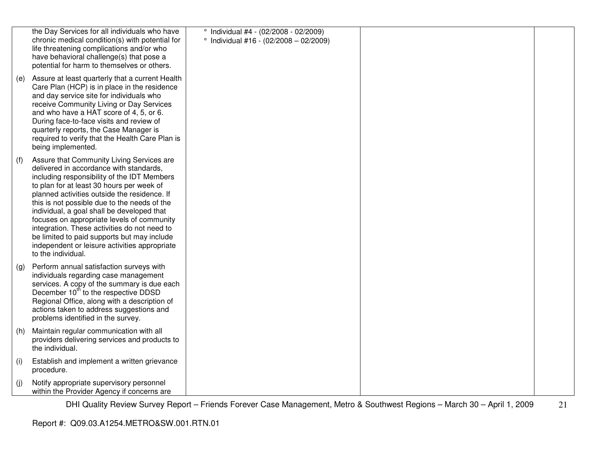|     | the Day Services for all individuals who have<br>chronic medical condition(s) with potential for<br>life threatening complications and/or who<br>have behavioral challenge(s) that pose a<br>potential for harm to themselves or others.                                                                                                                                                                                                                                                                                                           | $\degree$ Individual #4 - (02/2008 - 02/2009)<br>$\degree$ Individual #16 - (02/2008 - 02/2009) |  |
|-----|----------------------------------------------------------------------------------------------------------------------------------------------------------------------------------------------------------------------------------------------------------------------------------------------------------------------------------------------------------------------------------------------------------------------------------------------------------------------------------------------------------------------------------------------------|-------------------------------------------------------------------------------------------------|--|
| (e) | Assure at least quarterly that a current Health<br>Care Plan (HCP) is in place in the residence<br>and day service site for individuals who<br>receive Community Living or Day Services<br>and who have a HAT score of 4, 5, or 6.<br>During face-to-face visits and review of<br>quarterly reports, the Case Manager is<br>required to verify that the Health Care Plan is<br>being implemented.                                                                                                                                                  |                                                                                                 |  |
| (f) | Assure that Community Living Services are<br>delivered in accordance with standards,<br>including responsibility of the IDT Members<br>to plan for at least 30 hours per week of<br>planned activities outside the residence. If<br>this is not possible due to the needs of the<br>individual, a goal shall be developed that<br>focuses on appropriate levels of community<br>integration. These activities do not need to<br>be limited to paid supports but may include<br>independent or leisure activities appropriate<br>to the individual. |                                                                                                 |  |
| (g) | Perform annual satisfaction surveys with<br>individuals regarding case management<br>services. A copy of the summary is due each<br>December 10 <sup>th</sup> to the respective DDSD<br>Regional Office, along with a description of<br>actions taken to address suggestions and<br>problems identified in the survey.                                                                                                                                                                                                                             |                                                                                                 |  |
| (h) | Maintain regular communication with all<br>providers delivering services and products to<br>the individual.                                                                                                                                                                                                                                                                                                                                                                                                                                        |                                                                                                 |  |
| (i) | Establish and implement a written grievance<br>procedure.                                                                                                                                                                                                                                                                                                                                                                                                                                                                                          |                                                                                                 |  |
| (j) | Notify appropriate supervisory personnel<br>within the Provider Agency if concerns are                                                                                                                                                                                                                                                                                                                                                                                                                                                             |                                                                                                 |  |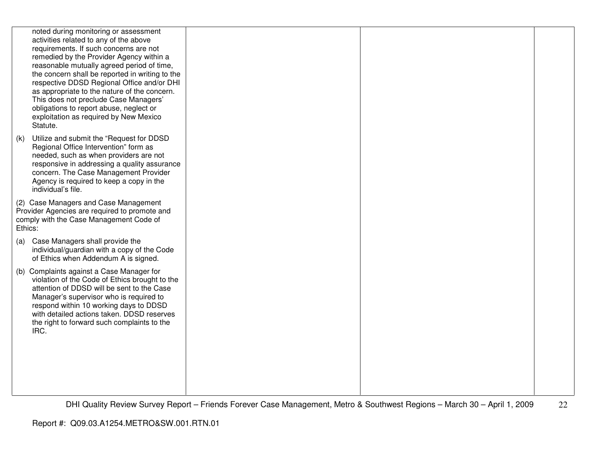|     | noted during monitoring or assessment<br>activities related to any of the above<br>requirements. If such concerns are not<br>remedied by the Provider Agency within a<br>reasonable mutually agreed period of time,<br>the concern shall be reported in writing to the<br>respective DDSD Regional Office and/or DHI<br>as appropriate to the nature of the concern.<br>This does not preclude Case Managers'<br>obligations to report abuse, neglect or<br>exploitation as required by New Mexico<br>Statute. |  |  |
|-----|----------------------------------------------------------------------------------------------------------------------------------------------------------------------------------------------------------------------------------------------------------------------------------------------------------------------------------------------------------------------------------------------------------------------------------------------------------------------------------------------------------------|--|--|
| (k) | Utilize and submit the "Request for DDSD<br>Regional Office Intervention" form as<br>needed, such as when providers are not<br>responsive in addressing a quality assurance<br>concern. The Case Management Provider<br>Agency is required to keep a copy in the<br>individual's file.                                                                                                                                                                                                                         |  |  |
|     | (2) Case Managers and Case Management<br>Provider Agencies are required to promote and<br>comply with the Case Management Code of<br>Ethics:                                                                                                                                                                                                                                                                                                                                                                   |  |  |
|     | (a) Case Managers shall provide the<br>individual/guardian with a copy of the Code<br>of Ethics when Addendum A is signed.                                                                                                                                                                                                                                                                                                                                                                                     |  |  |
|     | (b) Complaints against a Case Manager for<br>violation of the Code of Ethics brought to the<br>attention of DDSD will be sent to the Case<br>Manager's supervisor who is required to<br>respond within 10 working days to DDSD<br>with detailed actions taken. DDSD reserves<br>the right to forward such complaints to the<br>IRC.                                                                                                                                                                            |  |  |
|     |                                                                                                                                                                                                                                                                                                                                                                                                                                                                                                                |  |  |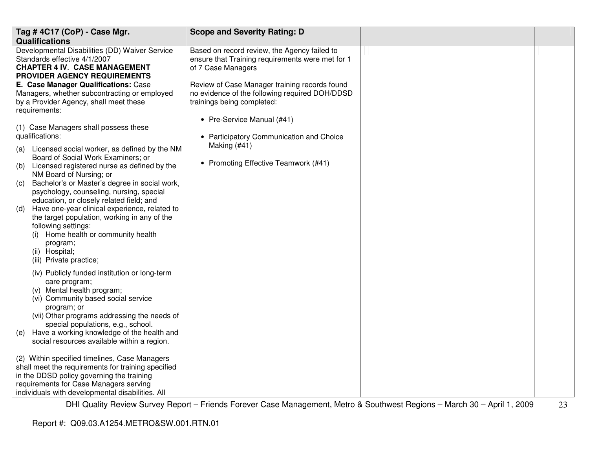| Tag #4C17 (CoP) - Case Mgr.                                                                                                                                                                                                                                                                                                                                                                                                                                                                                                                                                                                                                                                                                                                                                                                                                                                                                                                                                                                        | <b>Scope and Severity Rating: D</b>                                                                                              |  |
|--------------------------------------------------------------------------------------------------------------------------------------------------------------------------------------------------------------------------------------------------------------------------------------------------------------------------------------------------------------------------------------------------------------------------------------------------------------------------------------------------------------------------------------------------------------------------------------------------------------------------------------------------------------------------------------------------------------------------------------------------------------------------------------------------------------------------------------------------------------------------------------------------------------------------------------------------------------------------------------------------------------------|----------------------------------------------------------------------------------------------------------------------------------|--|
| <b>Qualifications</b>                                                                                                                                                                                                                                                                                                                                                                                                                                                                                                                                                                                                                                                                                                                                                                                                                                                                                                                                                                                              |                                                                                                                                  |  |
| Developmental Disabilities (DD) Waiver Service<br>Standards effective 4/1/2007<br><b>CHAPTER 4 IV. CASE MANAGEMENT</b><br>PROVIDER AGENCY REQUIREMENTS                                                                                                                                                                                                                                                                                                                                                                                                                                                                                                                                                                                                                                                                                                                                                                                                                                                             | Based on record review, the Agency failed to<br>ensure that Training requirements were met for 1<br>of 7 Case Managers           |  |
| E. Case Manager Qualifications: Case<br>Managers, whether subcontracting or employed<br>by a Provider Agency, shall meet these<br>requirements:                                                                                                                                                                                                                                                                                                                                                                                                                                                                                                                                                                                                                                                                                                                                                                                                                                                                    | Review of Case Manager training records found<br>no evidence of the following required DOH/DDSD<br>trainings being completed:    |  |
| (1) Case Managers shall possess these<br>qualifications:<br>Licensed social worker, as defined by the NM<br>(a)<br>Board of Social Work Examiners; or<br>Licensed registered nurse as defined by the<br>(b)<br>NM Board of Nursing; or<br>Bachelor's or Master's degree in social work,<br>(c)<br>psychology, counseling, nursing, special<br>education, or closely related field; and<br>Have one-year clinical experience, related to<br>(d)<br>the target population, working in any of the<br>following settings:<br>Home health or community health<br>program;<br>(ii) Hospital;<br>(iii) Private practice;<br>(iv) Publicly funded institution or long-term<br>care program;<br>(v) Mental health program;<br>(vi) Community based social service<br>program; or<br>(vii) Other programs addressing the needs of<br>special populations, e.g., school.<br>Have a working knowledge of the health and<br>(e)<br>social resources available within a region.<br>(2) Within specified timelines, Case Managers | • Pre-Service Manual (#41)<br>• Participatory Communication and Choice<br>Making $(#41)$<br>• Promoting Effective Teamwork (#41) |  |
| shall meet the requirements for training specified<br>in the DDSD policy governing the training<br>requirements for Case Managers serving<br>individuals with developmental disabilities. All                                                                                                                                                                                                                                                                                                                                                                                                                                                                                                                                                                                                                                                                                                                                                                                                                      |                                                                                                                                  |  |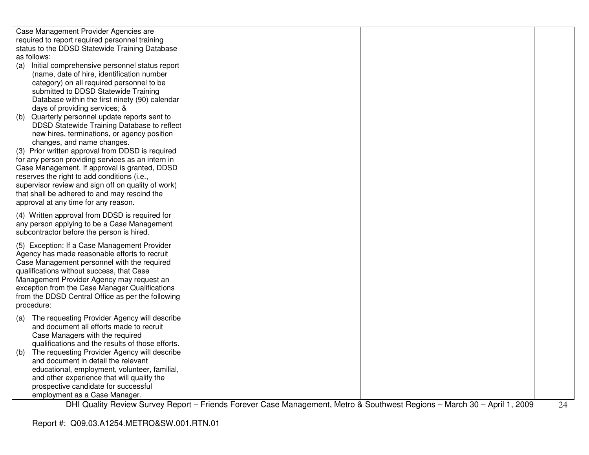| Case Management Provider Agencies are                                                    |  |  |
|------------------------------------------------------------------------------------------|--|--|
| required to report required personnel training                                           |  |  |
| status to the DDSD Statewide Training Database                                           |  |  |
| as follows:                                                                              |  |  |
| (a) Initial comprehensive personnel status report                                        |  |  |
| (name, date of hire, identification number                                               |  |  |
| category) on all required personnel to be                                                |  |  |
| submitted to DDSD Statewide Training                                                     |  |  |
| Database within the first ninety (90) calendar                                           |  |  |
| days of providing services; &                                                            |  |  |
| Quarterly personnel update reports sent to<br>(b)                                        |  |  |
| DDSD Statewide Training Database to reflect                                              |  |  |
| new hires, terminations, or agency position                                              |  |  |
| changes, and name changes.                                                               |  |  |
| (3) Prior written approval from DDSD is required                                         |  |  |
| for any person providing services as an intern in                                        |  |  |
| Case Management. If approval is granted, DDSD                                            |  |  |
| reserves the right to add conditions (i.e.,                                              |  |  |
| supervisor review and sign off on quality of work)                                       |  |  |
| that shall be adhered to and may rescind the                                             |  |  |
| approval at any time for any reason.                                                     |  |  |
| (4) Written approval from DDSD is required for                                           |  |  |
| any person applying to be a Case Management                                              |  |  |
| subcontractor before the person is hired.                                                |  |  |
|                                                                                          |  |  |
| (5) Exception: If a Case Management Provider                                             |  |  |
| Agency has made reasonable efforts to recruit                                            |  |  |
| Case Management personnel with the required<br>qualifications without success, that Case |  |  |
| Management Provider Agency may request an                                                |  |  |
| exception from the Case Manager Qualifications                                           |  |  |
| from the DDSD Central Office as per the following                                        |  |  |
| procedure:                                                                               |  |  |
|                                                                                          |  |  |
| The requesting Provider Agency will describe<br>(a)                                      |  |  |
| and document all efforts made to recruit                                                 |  |  |
| Case Managers with the required                                                          |  |  |
| qualifications and the results of those efforts.                                         |  |  |
| The requesting Provider Agency will describe<br>(b)                                      |  |  |
| and document in detail the relevant                                                      |  |  |
| educational, employment, volunteer, familial,                                            |  |  |
| and other experience that will qualify the                                               |  |  |
| prospective candidate for successful                                                     |  |  |
| employment as a Case Manager.                                                            |  |  |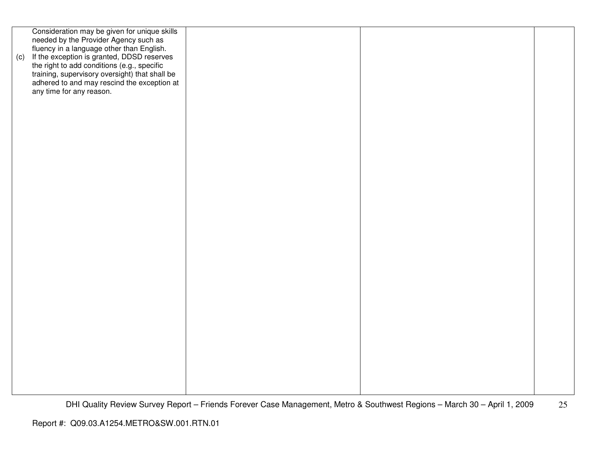| Consideration may be given for unique skills<br>needed by the Provider Agency such as<br>fluency in a language other than English.<br>If the exception is granted, DDSD reserves<br>the right to add conditions (e.g., specific<br>training, supervisory oversight) that shall be<br>adhered to and may rescind the exception at<br>(c) |  |
|-----------------------------------------------------------------------------------------------------------------------------------------------------------------------------------------------------------------------------------------------------------------------------------------------------------------------------------------|--|
|                                                                                                                                                                                                                                                                                                                                         |  |
|                                                                                                                                                                                                                                                                                                                                         |  |
|                                                                                                                                                                                                                                                                                                                                         |  |
|                                                                                                                                                                                                                                                                                                                                         |  |
|                                                                                                                                                                                                                                                                                                                                         |  |
|                                                                                                                                                                                                                                                                                                                                         |  |
|                                                                                                                                                                                                                                                                                                                                         |  |
|                                                                                                                                                                                                                                                                                                                                         |  |
|                                                                                                                                                                                                                                                                                                                                         |  |
|                                                                                                                                                                                                                                                                                                                                         |  |
|                                                                                                                                                                                                                                                                                                                                         |  |
| any time for any reason.                                                                                                                                                                                                                                                                                                                |  |
|                                                                                                                                                                                                                                                                                                                                         |  |
|                                                                                                                                                                                                                                                                                                                                         |  |
|                                                                                                                                                                                                                                                                                                                                         |  |
|                                                                                                                                                                                                                                                                                                                                         |  |
|                                                                                                                                                                                                                                                                                                                                         |  |
|                                                                                                                                                                                                                                                                                                                                         |  |
|                                                                                                                                                                                                                                                                                                                                         |  |
|                                                                                                                                                                                                                                                                                                                                         |  |
|                                                                                                                                                                                                                                                                                                                                         |  |
|                                                                                                                                                                                                                                                                                                                                         |  |
|                                                                                                                                                                                                                                                                                                                                         |  |
|                                                                                                                                                                                                                                                                                                                                         |  |
|                                                                                                                                                                                                                                                                                                                                         |  |
|                                                                                                                                                                                                                                                                                                                                         |  |
|                                                                                                                                                                                                                                                                                                                                         |  |
|                                                                                                                                                                                                                                                                                                                                         |  |
|                                                                                                                                                                                                                                                                                                                                         |  |
|                                                                                                                                                                                                                                                                                                                                         |  |
|                                                                                                                                                                                                                                                                                                                                         |  |
|                                                                                                                                                                                                                                                                                                                                         |  |
|                                                                                                                                                                                                                                                                                                                                         |  |
|                                                                                                                                                                                                                                                                                                                                         |  |
|                                                                                                                                                                                                                                                                                                                                         |  |
|                                                                                                                                                                                                                                                                                                                                         |  |
|                                                                                                                                                                                                                                                                                                                                         |  |
|                                                                                                                                                                                                                                                                                                                                         |  |
|                                                                                                                                                                                                                                                                                                                                         |  |
|                                                                                                                                                                                                                                                                                                                                         |  |
|                                                                                                                                                                                                                                                                                                                                         |  |
|                                                                                                                                                                                                                                                                                                                                         |  |
|                                                                                                                                                                                                                                                                                                                                         |  |
|                                                                                                                                                                                                                                                                                                                                         |  |
|                                                                                                                                                                                                                                                                                                                                         |  |
|                                                                                                                                                                                                                                                                                                                                         |  |
|                                                                                                                                                                                                                                                                                                                                         |  |
|                                                                                                                                                                                                                                                                                                                                         |  |
|                                                                                                                                                                                                                                                                                                                                         |  |
|                                                                                                                                                                                                                                                                                                                                         |  |
|                                                                                                                                                                                                                                                                                                                                         |  |
|                                                                                                                                                                                                                                                                                                                                         |  |
|                                                                                                                                                                                                                                                                                                                                         |  |
|                                                                                                                                                                                                                                                                                                                                         |  |
|                                                                                                                                                                                                                                                                                                                                         |  |
|                                                                                                                                                                                                                                                                                                                                         |  |
|                                                                                                                                                                                                                                                                                                                                         |  |
|                                                                                                                                                                                                                                                                                                                                         |  |
|                                                                                                                                                                                                                                                                                                                                         |  |
|                                                                                                                                                                                                                                                                                                                                         |  |
|                                                                                                                                                                                                                                                                                                                                         |  |
|                                                                                                                                                                                                                                                                                                                                         |  |
|                                                                                                                                                                                                                                                                                                                                         |  |
|                                                                                                                                                                                                                                                                                                                                         |  |
|                                                                                                                                                                                                                                                                                                                                         |  |
|                                                                                                                                                                                                                                                                                                                                         |  |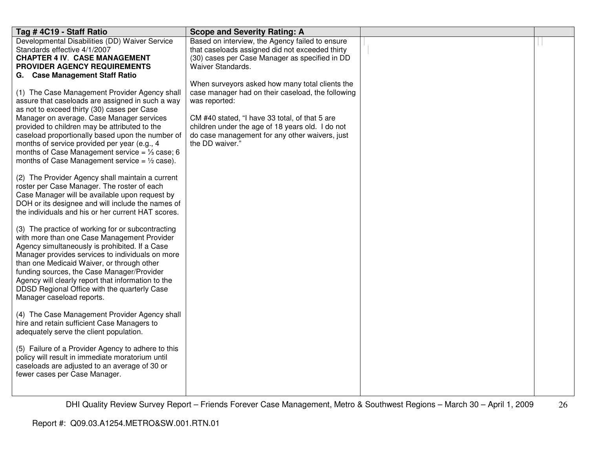| Tag # 4C19 - Staff Ratio                                                                                                                                                                                                                                                                                                                                                                                                                                                                                                                                                                                                                                                                                                                                                  | <b>Scope and Severity Rating: A</b>                                                                                                                                                                                                                                                                                                                                                                                                                                           |  |
|---------------------------------------------------------------------------------------------------------------------------------------------------------------------------------------------------------------------------------------------------------------------------------------------------------------------------------------------------------------------------------------------------------------------------------------------------------------------------------------------------------------------------------------------------------------------------------------------------------------------------------------------------------------------------------------------------------------------------------------------------------------------------|-------------------------------------------------------------------------------------------------------------------------------------------------------------------------------------------------------------------------------------------------------------------------------------------------------------------------------------------------------------------------------------------------------------------------------------------------------------------------------|--|
| Developmental Disabilities (DD) Waiver Service<br>Standards effective 4/1/2007<br><b>CHAPTER 4 IV. CASE MANAGEMENT</b><br><b>PROVIDER AGENCY REQUIREMENTS</b><br>G. Case Management Staff Ratio<br>(1) The Case Management Provider Agency shall<br>assure that caseloads are assigned in such a way<br>as not to exceed thirty (30) cases per Case<br>Manager on average. Case Manager services<br>provided to children may be attributed to the<br>caseload proportionally based upon the number of<br>months of service provided per year (e.g., 4<br>months of Case Management service = $\frac{1}{3}$ case; 6<br>months of Case Management service = $1/2$ case).<br>(2) The Provider Agency shall maintain a current<br>roster per Case Manager. The roster of each | Based on interview, the Agency failed to ensure<br>that caseloads assigned did not exceeded thirty<br>(30) cases per Case Manager as specified in DD<br>Waiver Standards.<br>When surveyors asked how many total clients the<br>case manager had on their caseload, the following<br>was reported:<br>CM #40 stated, "I have 33 total, of that 5 are<br>children under the age of 18 years old. I do not<br>do case management for any other waivers, just<br>the DD waiver." |  |
| Case Manager will be available upon request by<br>DOH or its designee and will include the names of<br>the individuals and his or her current HAT scores.                                                                                                                                                                                                                                                                                                                                                                                                                                                                                                                                                                                                                 |                                                                                                                                                                                                                                                                                                                                                                                                                                                                               |  |
| (3) The practice of working for or subcontracting<br>with more than one Case Management Provider<br>Agency simultaneously is prohibited. If a Case<br>Manager provides services to individuals on more<br>than one Medicaid Waiver, or through other<br>funding sources, the Case Manager/Provider<br>Agency will clearly report that information to the<br>DDSD Regional Office with the quarterly Case<br>Manager caseload reports.                                                                                                                                                                                                                                                                                                                                     |                                                                                                                                                                                                                                                                                                                                                                                                                                                                               |  |
| (4) The Case Management Provider Agency shall<br>hire and retain sufficient Case Managers to<br>adequately serve the client population.                                                                                                                                                                                                                                                                                                                                                                                                                                                                                                                                                                                                                                   |                                                                                                                                                                                                                                                                                                                                                                                                                                                                               |  |
| (5) Failure of a Provider Agency to adhere to this<br>policy will result in immediate moratorium until<br>caseloads are adjusted to an average of 30 or<br>fewer cases per Case Manager.                                                                                                                                                                                                                                                                                                                                                                                                                                                                                                                                                                                  |                                                                                                                                                                                                                                                                                                                                                                                                                                                                               |  |